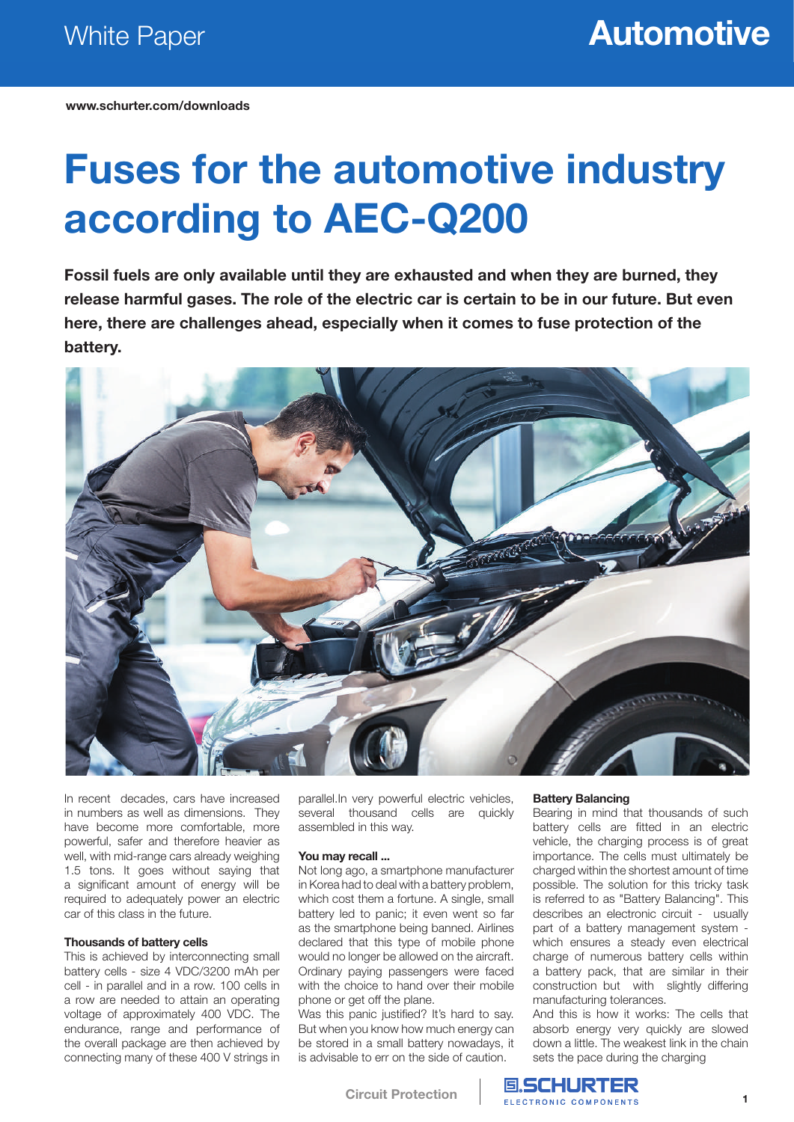**www.schurter.com/downloads**

# **Fuses for the automotive industry according to AEC-Q200**

**Fossil fuels are only available until they are exhausted and when they are burned, they release harmful gases. The role of the electric car is certain to be in our future. But even here, there are challenges ahead, especially when it comes to fuse protection of the battery.**



In recent decades, cars have increased in numbers as well as dimensions. They have become more comfortable, more powerful, safer and therefore heavier as well, with mid-range cars already weighing 1.5 tons. It goes without saying that a significant amount of energy will be required to adequately power an electric car of this class in the future.

#### **Thousands of battery cells**

This is achieved by interconnecting small battery cells - size 4 VDC/3200 mAh per cell - in parallel and in a row. 100 cells in a row are needed to attain an operating voltage of approximately 400 VDC. The endurance, range and performance of the overall package are then achieved by connecting many of these 400 V strings in parallel.In very powerful electric vehicles, several thousand cells are quickly assembled in this way.

#### **You may recall ...**

Not long ago, a smartphone manufacturer in Korea had to deal with a battery problem, which cost them a fortune. A single, small battery led to panic; it even went so far as the smartphone being banned. Airlines declared that this type of mobile phone would no longer be allowed on the aircraft. Ordinary paying passengers were faced with the choice to hand over their mobile phone or get off the plane.

Was this panic justified? It's hard to say. But when you know how much energy can be stored in a small battery nowadays, it is advisable to err on the side of caution.

#### **Battery Balancing**

**国、SCHURTER** ELECTRONIC COMPONENTS

Bearing in mind that thousands of such battery cells are fitted in an electric vehicle, the charging process is of great importance. The cells must ultimately be charged within the shortest amount of time possible. The solution for this tricky task is referred to as "Battery Balancing". This describes an electronic circuit - usually part of a battery management system which ensures a steady even electrical charge of numerous battery cells within a battery pack, that are similar in their construction but with slightly differing manufacturing tolerances.

And this is how it works: The cells that absorb energy very quickly are slowed down a little. The weakest link in the chain sets the pace during the charging